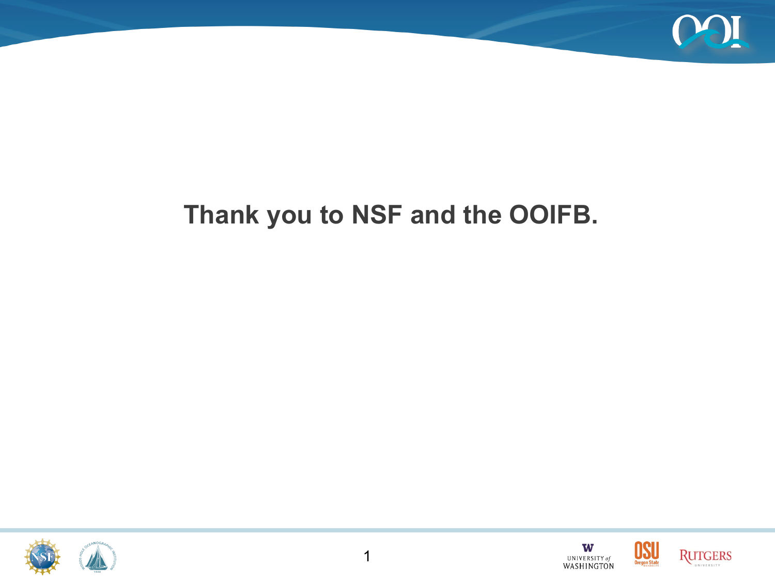

### **Thank you to NSF and the OOIFB.**





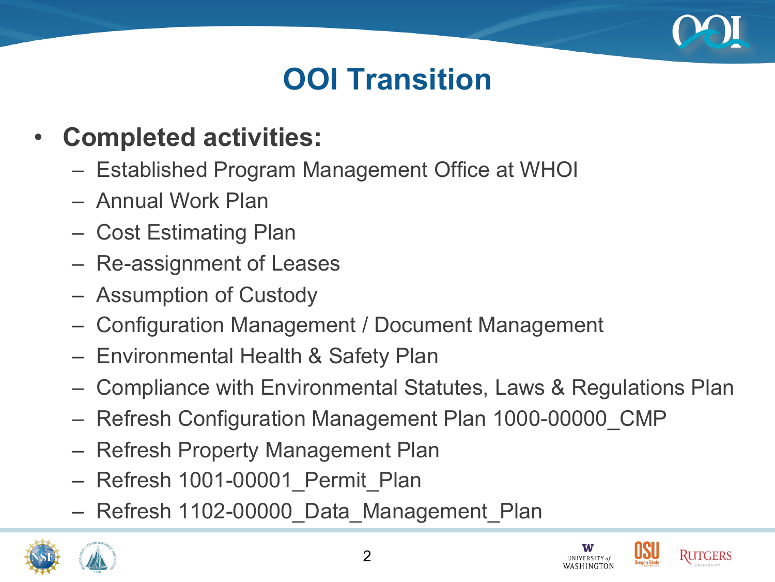

# **OOI Transition**

- **Completed activities:** 
	- Established Program Management Office at WHOI
	- Annual Work Plan
	- Cost Estimating Plan
	- Re-assignment of Leases
	- Assumption of Custody
	- Configuration Management / Document Management
	- Environmental Health & Safety Plan
	- Compliance with Environmental Statutes, Laws & Regulations Plan
	- Refresh Configuration Management Plan 1000-00000\_CMP
	- Refresh Property Management Plan
	- Refresh 1001-00001\_Permit\_Plan
	- Refresh 1102-00000\_Data\_Management\_Plan





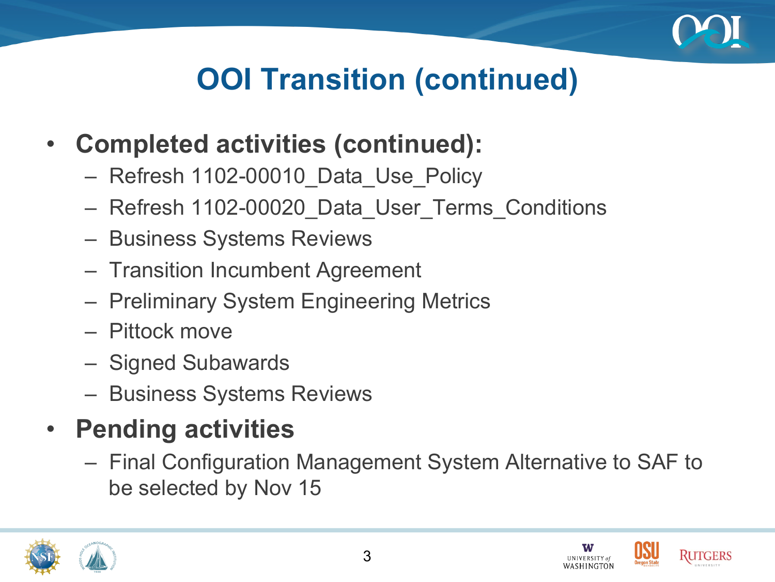

# **OOI Transition (continued)**

- **Completed activities (continued):**
	- Refresh 1102-00010\_Data\_Use\_Policy
	- Refresh 1102-00020\_Data\_User\_Terms\_Conditions
	- Business Systems Reviews
	- Transition Incumbent Agreement
	- Preliminary System Engineering Metrics
	- Pittock move
	- Signed Subawards
	- Business Systems Reviews
- **Pending activities** 
	- Final Configuration Management System Alternative to SAF to be selected by Nov 15





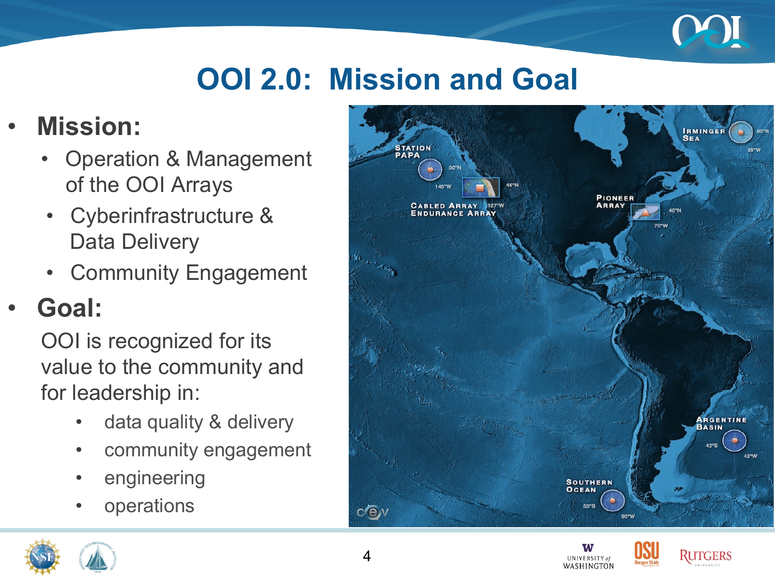

# **OOI 2.0: Mission and Goal**

### • **Mission:**

- Operation & Management of the OOI Arrays
- Cyberinfrastructure & Data Delivery
- Community Engagement

### • **Goal:**

OOI is recognized for its value to the community and for leadership in:

- data quality & delivery
- community engagement
- engineering
- **operations**





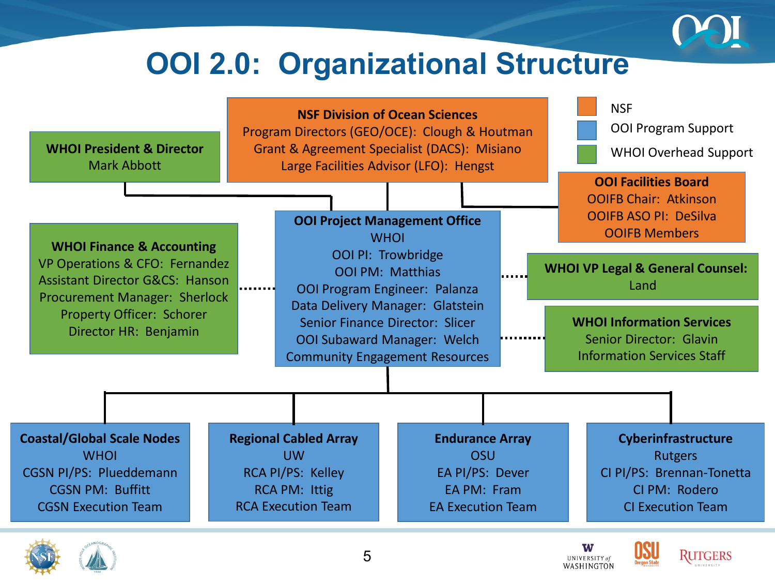

## **OOI 2.0: Organizational Structure**